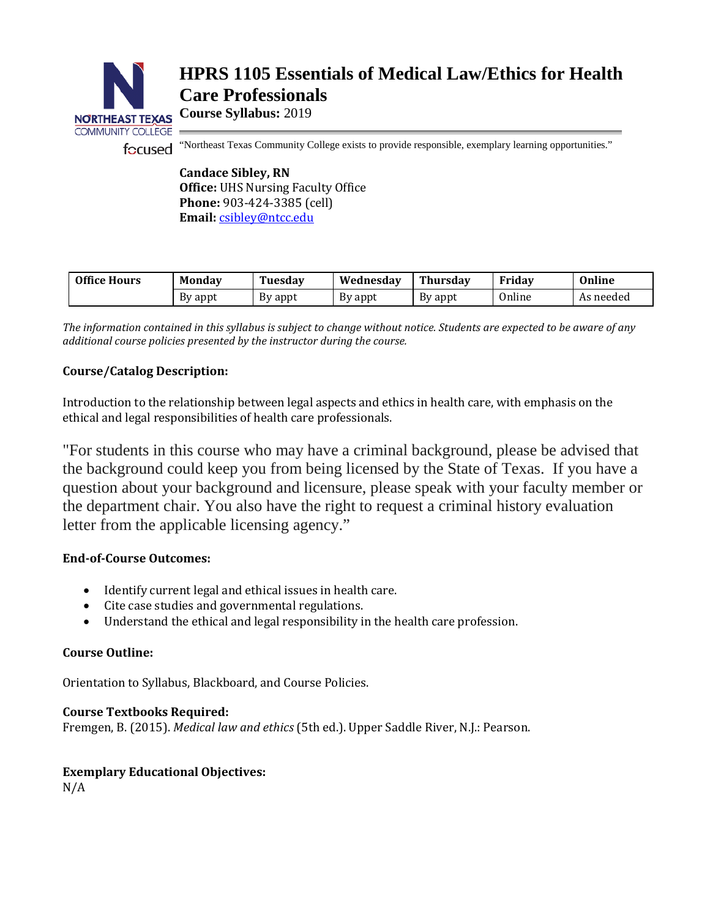

# **HPRS 1105 Essentials of Medical Law/Ethics for Health Care Professionals**

**Course Syllabus:** 2019

focused "Northeast Texas Community College exists to provide responsible, exemplary learning opportunities."

**Candace Sibley, RN Office:** UHS Nursing Faculty Office **Phone:** 903-424-3385 (cell) **Email:** [csibley@ntcc.edu](mailto:csibley@ntcc.edu)

| <b>Office Hours</b> | <b>Monday</b> | Tuesday | Wednesdav | Thursday | Fridav | Online    |
|---------------------|---------------|---------|-----------|----------|--------|-----------|
|                     | By appt       | By appt | By appt   | By appt  | Online | As needed |

*The information contained in this syllabus is subject to change without notice. Students are expected to be aware of any additional course policies presented by the instructor during the course.*

# **Course/Catalog Description:**

Introduction to the relationship between legal aspects and ethics in health care, with emphasis on the ethical and legal responsibilities of health care professionals.

"For students in this course who may have a criminal background, please be advised that the background could keep you from being licensed by the State of Texas. If you have a question about your background and licensure, please speak with your faculty member or the department chair. You also have the right to request a criminal history evaluation letter from the applicable licensing agency."

# **End-of-Course Outcomes:**

- Identify current legal and ethical issues in health care.
- Cite case studies and governmental regulations.
- Understand the ethical and legal responsibility in the health care profession.

# **Course Outline:**

Orientation to Syllabus, Blackboard, and Course Policies.

## **Course Textbooks Required:**

Fremgen, B. (2015). *Medical law and ethics* (5th ed.). Upper Saddle River, N.J.: Pearson.

# **Exemplary Educational Objectives:**

N/A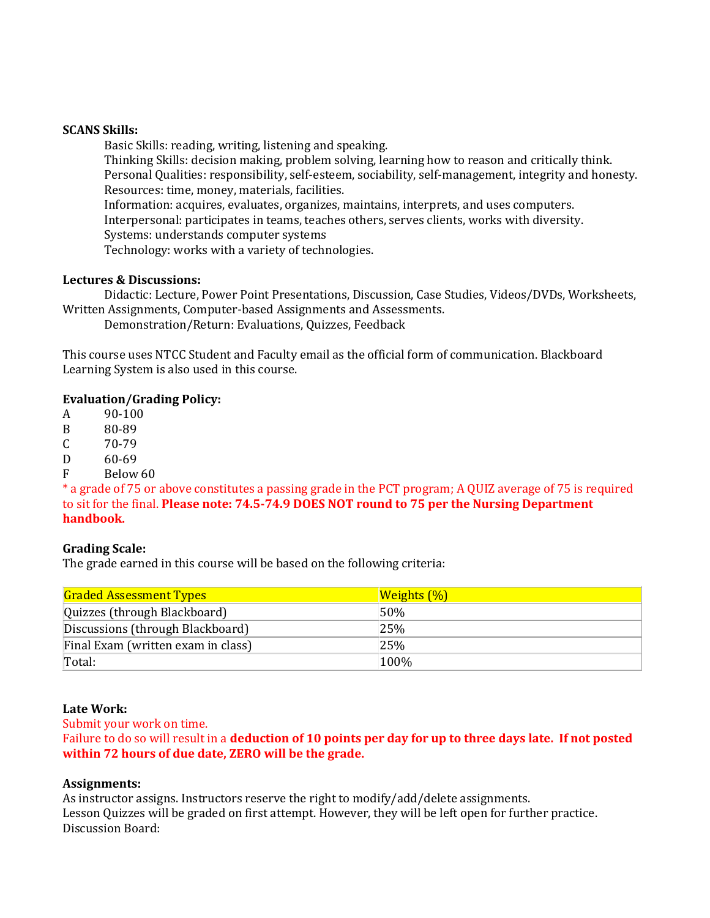## **SCANS Skills:**

Basic Skills: reading, writing, listening and speaking. Thinking Skills: decision making, problem solving, learning how to reason and critically think. Personal Qualities: responsibility, self-esteem, sociability, self-management, integrity and honesty. Resources: time, money, materials, facilities. Information: acquires, evaluates, organizes, maintains, interprets, and uses computers. Interpersonal: participates in teams, teaches others, serves clients, works with diversity. Systems: understands computer systems Technology: works with a variety of technologies.

## **Lectures & Discussions:**

Didactic: Lecture, Power Point Presentations, Discussion, Case Studies, Videos/DVDs, Worksheets, Written Assignments, Computer-based Assignments and Assessments.

Demonstration/Return: Evaluations, Quizzes, Feedback

This course uses NTCC Student and Faculty email as the official form of communication. Blackboard Learning System is also used in this course.

#### **Evaluation/Grading Policy:**

A 90-100<br>B 80-89

B 80-89<br>C 70-79

 $\begin{array}{cc}\n\text{C} & 70-79 \\
\text{D} & 60-69\n\end{array}$ 

D 60-69<br>F Below

Below 60

\* a grade of 75 or above constitutes a passing grade in the PCT program; A QUIZ average of 75 is required to sit for the final. **Please note: 74.5-74.9 DOES NOT round to 75 per the Nursing Department handbook.**

## **Grading Scale:**

The grade earned in this course will be based on the following criteria:

| <b>Graded Assessment Types</b>     | <b>Weights</b> (%) |
|------------------------------------|--------------------|
| Quizzes (through Blackboard)       | $50\%$             |
| Discussions (through Blackboard)   | 25%                |
| Final Exam (written exam in class) | 25%                |
| Total:                             | 100%               |

#### **Late Work:**

Submit your work on time.

Failure to do so will result in a **deduction of 10 points per day for up to three days late. If not posted within 72 hours of due date, ZERO will be the grade.** 

#### **Assignments:**

As instructor assigns. Instructors reserve the right to modify/add/delete assignments. Lesson Quizzes will be graded on first attempt. However, they will be left open for further practice. Discussion Board: